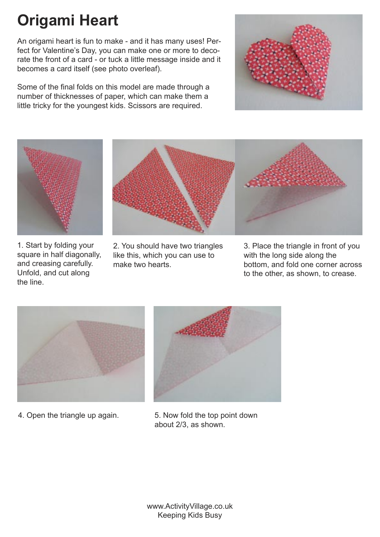## **Origami Heart**

An origami heart is fun to make - and it has many uses! Perfect for Valentine's Day, you can make one or more to decorate the front of a card - or tuck a little message inside and it becomes a card itself (see photo overleaf).

Some of the final folds on this model are made through a number of thicknesses of paper, which can make them a little tricky for the youngest kids. Scissors are required.





1. Start by folding your square in half diagonally, and creasing carefully. Unfold, and cut along the line.



2. You should have two triangles like this, which you can use to make two hearts.



3. Place the triangle in front of you with the long side along the bottom, and fold one corner across to the other, as shown, to crease.





4. Open the triangle up again. 5. Now fold the top point down about 2/3, as shown.